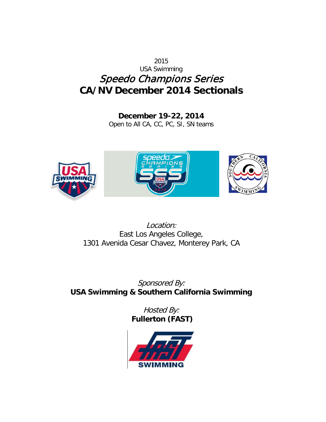# 2015 USA Swimming Speedo Champions Series **CA/NV December 2014 Sectionals**

**December 19-22, 2014** Open to All CA, CC, PC, SI, SN teams



Location: East Los Angeles College, 1301 Avenida Cesar Chavez, Monterey Park, CA

Sponsored By: **USA Swimming & Southern California Swimming**

> Hosted By: **Fullerton (FAST)**

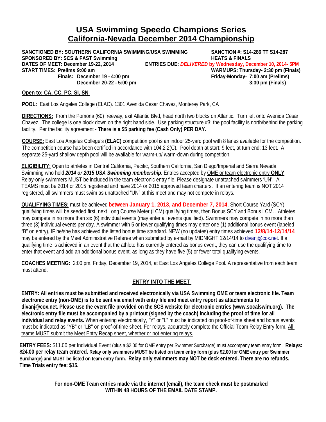# **USA Swimming Speedo Champions Series California-Nevada December 2014 Championship**

**SANCTIONED BY: SOUTHERN CALIFORNIA SWIMMING/USA SWIMMING SANCTION #: S14-286 TT S14-287 SPONSORED BY: SCS & FAST Swimming<br>DATES OF MEET: December 19-22, 2014 ENTRIES DUE: DELIVERED by Wednesday, De START TIMES: Prelims 9:00 am WARMUPS: Thursday- 2:30 pm (Finals) Finals: December 19 - 4:00 pm Friday-Monday- 7:00 am (Prelims) December 20-22 - 5:00 pm 3:30 pm (Finals)**

**DATES OF MEET: December 19-22, 2014 ENTRIES DUE:** *DELIVERED* **by Wednesday, December 10, 2014- 5PM**

### **Open to: CA, CC, PC, SI, SN**

**POOL:** East Los Angeles College (ELAC). 1301 Avenida Cesar Chavez, Monterey Park, CA

**DIRECTIONS:** From the Pomona (60) freeway, exit Atlantic Blvd, head north two blocks on Atlantic. Turn left onto Avenida Cesar Chavez. The college is one block down on the right hand side. Use parking structure  $#3$ ; the pool facility is north/behind the parking facility. Per the facility agreement - **There is a \$5 parking fee (Cash Only) PER DAY.** 

**COURSE:** East Los Angeles College's **(ELAC)** competition pool is an indoor 25-yard pool with 8 lanes available for the competition. The competition course has been certified in accordance with 104.2.2(C). Pool depth at start: 9 feet, at turn end: 13 feet. A separate 25-yard shallow depth pool will be available for warm-up/ warm-down during competition.

**ELIGIBILITY:** Open to athletes in Central California, Pacific, Southern California, San Diego/Imperial and Sierra Nevada Swimming who hold *2014 or 2015 USA Swimming membership*. Entries accepted by OME or team electronic entry **ONLY**. Relay-only swimmers MUST be included in the team electronic entry file. Please designate unattached swimmers 'UN'. All TEAMS must be 2014 or 2015 registered and have 2014 or 2015 approved team charters. If an entering team is NOT 2014 registered, all swimmers must swim as unattached "UN" at this meet and may not compete in relays.

**QUALIFYING TIMES:** must be achieved **between January 1, 2013, and December 7, 2014**. Short Course Yard (SCY) qualifying times will be seeded first, next Long Course Meter (LCM) qualifying times, then Bonus SCY and Bonus LCM. . Athletes may compete in no more than six (6) individual events (may enter all events qualified). Swimmers may compete in no more than three (3) individual events per day. A swimmer with 5 or fewer qualifying times may enter one (1) additional bonus event (labeled "B" on entry), IF he/she has achieved the listed bonus time standard. NEW (no updates) entry times achieved **12/8/14-12/14/14** may be entered by the Meet Administrative Referee when submitted by e-mail by MIDNIGHT 12/14/14 to [divanj@cox.net.](mailto:dearmas1@gmail.com) If a qualifying time is achieved in an event that the athlete has currently entered as bonus event, they can use the qualifying time to enter that event and add an additional bonus event, as long as they have five (5) or fewer total qualifying events.

**COACHES MEETING:** 2:00 pm, Friday, December 19, 2014, at East Los Angeles College Pool. A representative from each team must attend.

### **ENTRY INTO THE MEET**

**ENTRY: All entries must be submitted and received electronically via USA Swimming OME or team electronic file. Team electronic entry (non-OME) is to be sent via email with entry file and meet entry report as attachments to divanj@cox.net. Please use the event file provided on the SCS website for electronic entries (www.socalswim.org). The electronic entry file must be accompanied by a printout (signed by the coach) including the proof of time for all individual and relay events.** When entering electronically, "Y" or "L" must be indicated on proof-of-time sheet and bonus events must be indicated as "YB" or "LB" on proof-of-time sheet. For relays, accurately complete the Official Team Relay Entry form. All teams MUST submit the Meet Entry Recap sheet, whether or not entering relays.

**ENTRY FEES:** \$11.00 per Individual Event (plus a \$2.00 for OME entry per Swimmer Surcharge) must accompany team entry form. **Relays: \$24.00 per relay team entered. Relay only swimmers MUST be listed on team entry form (plus \$2.00 for OME entry per Swimmer Surcharge) and MUST be listed on team entry form. Relay only swimmers may NOT be deck entered. There are no refunds. Time Trials entry fee: \$15.**

> **For non-OME Team entries made via the internet (email), the team check must be postmarked WITHIN 48 HOURS OF THE EMAIL DATE STAMP.**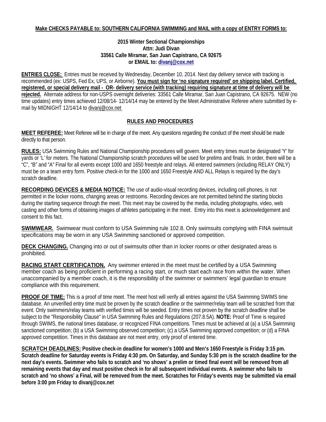### **Make CHECKS PAYABLE to: SOUTHERN CALIFORNIA SWIMMING and MAIL with a copy of ENTRY FORMS to:**

### **2015 Winter Sectional Championships Attn: Judi Divan 33561 Calle Miramar, San Juan Capistrano, CA 92675 or EMAIL to[: divanj@cox.net](mailto:dearmas1@gmail.com)**

**ENTRIES CLOSE:** Entries must be received by Wednesday, December 10, 2014. Next day delivery service with tracking is recommended (ex: USPS, Fed Ex, UPS, or Airborne). **You must sign for 'no signature required' on shipping label. Certified, registered, or special delivery mail - OR- delivery service (with tracking) requiring signature at time of delivery will be rejected.** Alternate address for non-USPS overnight deliveries: 33561 Calle Miramar, San Juan Capistrano, CA 92675. NEW (no time updates) entry times achieved 12/08/14- 12/14/14 may be entered by the Meet Administrative Referee where submitted by email by MIDNIGHT 12/14/14 to divanj@cox.net

### **RULES AND PROCEDURES**

**MEET REFEREE:** Meet Referee will be in charge of the meet. Any questions regarding the conduct of the meet should be made directly to that person.

**RULES:** USA Swimming Rules and National Championship procedures will govern. Meet entry times must be designated 'Y' for yards or 'L' for meters. The National Championship scratch procedures will be used for prelims and finals. In order, there will be a "C", "B" and "A" Final for all events except 1000 and 1650 freestyle and relays. All entered swimmers (including RELAY ONLY) must be on a team entry form. Positive check-in for the 1000 and 1650 Freestyle AND ALL Relays is required by the day's scratch deadline.

**RECORDING DEVICES & MEDIA NOTICE:** The use of audio-visual recording devices, including cell phones, is not permitted in the locker rooms, changing areas or restrooms. Recording devices are not permitted behind the starting blocks during the starting sequence through the meet. This meet may be covered by the media, including photographs, video, web casting and other forms of obtaining images of athletes participating in the meet. Entry into this meet is acknowledgement and consent to this fact.

**SWIMWEAR.** Swimwear must conform to USA Swimming rule 102.8. Only swimsuits complying with FINA swimsuit specifications may be worn in any USA Swimming sanctioned or approved competition.

**DECK CHANGING.** Changing into or out of swimsuits other than in locker rooms or other designated areas is prohibited.

**RACING START CERTIFICATION.** Any swimmer entered in the meet must be certified by a USA Swimming member coach as being proficient in performing a racing start, or much start each race from within the water. When unaccompanied by a member coach, it is the responsibility of the swimmer or swimmers' legal guardian to ensure compliance with this requirement.

**PROOF OF TIME:** This is a proof of time meet. The meet host will verify all entries against the USA Swimming SWIMS time database. An unverified entry time must be proven by the scratch deadline or the swimmer/relay team will be scratched from that event. Only swimmers/relay teams with verified times will be seeded. Entry times not proven by the scratch deadline shall be subject to the "Responsibility Clause" in USA Swimming Rules and Regulations (207.8.5A). **NOTE:** Proof of Time is required through SWIMS, the national times database, or recognized FINA competitions. Times must be achieved at (a) a USA Swimming sanctioned competition; (b) a USA Swimming observed competition; (c) a USA Swimming approved competition; or (d) a FINA approved competition. Times in this database are not meet entry, only proof of entered time.

**SCRATCH DEADLINES: Positive check-in deadline for women's 1000 and Men's 1650 Freestyle is Friday 3:15 pm. Scratch deadline for Saturday events is Friday 4:30 pm. On Saturday, and Sunday 5:30 pm is the scratch deadline for the next day's events. Swimmer who fails to scratch and 'no shows' a prelim or timed final event will be removed from all remaining events that day and must positive check in for all subsequent individual events. A swimmer who fails to scratch and 'no shows' a Final, will be removed from the meet. Scratches for Friday's events may be submitted via email before 3:00 pm Friday to divanj@cox.net**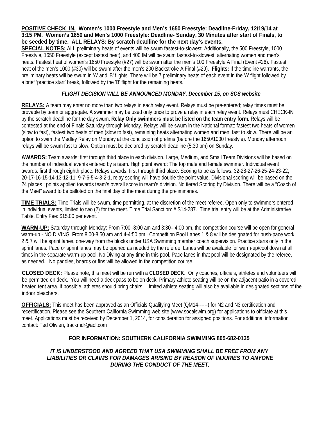**POSITIVE CHECK\_IN. Women's 1000 Freestyle and Men's 1650 Freestyle: Deadline-Friday, 12/19/14 at 3:15 PM. Women's 1650 and Men's 1000 Freestyle: Deadline- Sunday, 30 Minutes after start of Finals, to be seeded by time. ALL RELAYS: By scratch deadline for the next day's events.** 

**SPECIAL NOTES:** ALL preliminary heats of events will be swum fastest-to-slowest. Additionally, the 500 Freestyle, 1000 Freestyle, 1650 Freestyle (except fastest heat), and 400 IM will be swum fastest-to-slowest, alternating women and men's heats. Fastest heat of women's 1650 Freestyle (#27) will be swum after the men's 100 Freestyle A Final (Event #26). Fastest heat of the men's 1000 (#30) will be swum after the men's 200 Backstroke A Final (#29). **Flights:** If the timeline warrants, the preliminary heats will be swum in 'A' and 'B' flights. There will be 7 preliminary heats of each event in the 'A' flight followed by a brief 'practice start' break, followed by the 'B' flight for the remaining heats.

## *FLIGHT DECISION WILL BE ANNOUNCED MONDAY, December 15, on SCS website*

**RELAYS:** A team may enter no more than two relays in each relay event. Relays must be pre-entered; relay times must be provable by team or aggregate. A swimmer may be used only once to prove a relay in each relay event. Relays must CHECK-IN by the scratch deadline for the day swum. **Relay Only swimmers must be listed on the team entry form.** Relays will be contested at the end of Finals Saturday through Monday. Relays will be swum in the National format: fastest two heats of women (slow to fast), fastest two heats of men (slow to fast), remaining heats alternating women and men, fast to slow. There will be an option to swim the Medley Relay on Monday at the conclusion of prelims (before the 1650/1000 freestyle). Monday afternoon relays will be swum fast to slow. Option must be declared by scratch deadline (5:30 pm) on Sunday.

**AWARDS:** Team awards: first through third place in each division. Large, Medium, and Small Team Divisions will be based on the number of individual events entered by a team. High point award: The top male and female swimmer. Individual event awards: first through eighth place. Relays awards: first through third place. Scoring to be as follows: 32-28-27-26-25-24-23-22; 20-17-16-15-14-13-12-11; 9-7-6-5-4-3-2-1, relay scoring will have double the point value. Divisional scoring will be based on the 24 places ; points applied towards team's overall score in team's division. No tiered Scoring by Division. There will be a "Coach of the Meet" award to be balloted on the final day of the meet during the preliminaries.

**TIME TRIALS:** Time Trials will be swum, time permitting, at the discretion of the meet referee. Open only to swimmers entered in individual events, limited to two (2) for the meet. Time Trial Sanction: # S14-287. Time trial entry will be at the Administrative Table. Entry Fee: \$15.00 per event.

**WARM-UP:** Saturday through Monday: From 7:00 -8:00 am and 3:30– 4:00 pm, the competition course will be open for general warm-up - NO DIVING. From 8:00-8:50 am and 4-4:50 pm –Competition Pool Lanes 1 & 8 will be designated for push-pace work: 2 & 7 will be sprint lanes, one-way from the blocks under USA Swimming member coach supervision. Practice starts only in the sprint lanes. Pace or sprint lanes may be opened as needed by the referee. Lanes will be available for warm-up/cool down at all times in the separate warm-up pool. No Diving at any time in this pool. Pace lanes in that pool will be designated by the referee, as needed. No paddles, boards or fins will be allowed in the competition course.

**CLOSED DECK:** Please note, this meet will be run with a **CLOSED DECK**. Only coaches, officials, athletes and volunteers will be permitted on deck. You will need a deck pass to be on deck. Primary athlete seating will be on the adjacent patio in a covered, heated tent area. If possible, athletes should bring chairs. Limited athlete seating will also be available in designated sections of the indoor bleachers.

**OFFICIALS:** This meet has been approved as an Officials Qualifying Meet (QM14------) for N2 and N3 certification and recertification. Please see the Southern California Swimming web site (www.socalswim.org) for applications to officiate at this meet. Applications must be received by December 1, 2014, for consideration for assigned positions. For additional information contact: Ted Olivieri, trackmdr@aol.com

### **FOR INFORMATION: SOUTHERN CALIFORNIA SWIMMING 805-682-0135**

*IT IS UNDERSTOOD AND AGREED THAT USA SWIMMING SHALL BE FREE FROM ANY LIABILITIES OR CLAIMS FOR DAMAGES ARISING BY REASON OF INJURIES TO ANYONE DURING THE CONDUCT OF THE MEET.*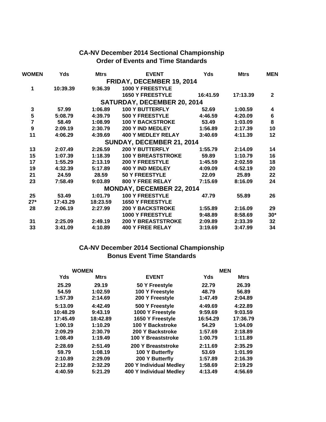# **CA-NV December 2014 Sectional Championship Order of Events and Time Standards**

| WOMEN            | Yds      | <b>Mtrs</b> | <b>EVENT</b>                       | <b>Yds</b> | <b>Mtrs</b> | <b>MEN</b>     |
|------------------|----------|-------------|------------------------------------|------------|-------------|----------------|
|                  |          |             | FRIDAY, DECEMBER 19, 2014          |            |             |                |
| 1                | 10:39.39 | 9:36.39     | <b>1000 Y FREESTYLE</b>            |            |             |                |
|                  |          |             | <b>1650 Y FREESTYLE</b>            | 16:41.59   | 17:13.39    | $\mathbf{2}$   |
|                  |          |             | <b>SATURDAY, DECEMBER 20, 2014</b> |            |             |                |
| $\mathbf 3$      | 57.99    | 1:06.89     | <b>100 Y BUTTERFLY</b>             | 52.69      | 1:00.59     | 4              |
| 5                | 5:08.79  | 4:39.79     | 500 Y FREESTYLE                    | 4:46.59    | 4:20.09     | $6\phantom{1}$ |
| $\overline{7}$   | 58.49    | 1:08.99     | <b>100 Y BACKSTROKE</b>            | 53.49      | 1:03.09     | 8              |
| $\boldsymbol{9}$ | 2:09.19  | 2:30.79     | 200 Y IND MEDLEY                   | 1:56.89    | 2:17.39     | 10             |
| 11               | 4:06.29  | 4:39.69     | <b>400 Y MEDLEY RELAY</b>          | 3:40.69    | 4:11.39     | 12             |
|                  |          |             | SUNDAY, DECEMBER 21, 2014          |            |             |                |
| 13               | 2:07.49  | 2:26.59     | <b>200 Y BUTTERFLY</b>             | 1:55.79    | 2:14.09     | 14             |
| 15               | 1:07.39  | 1:18.39     | <b>100 Y BREASTSTROKE</b>          | 59.89      | 1:10.79     | 16             |
| 17               | 1:55.29  | 2:13.19     | <b>200 Y FREESTYLE</b>             | 1:45.59    | 2:02.59     | 18             |
| 19               | 4:32.39  | 5:17.89     | 400 Y IND MEDLEY                   | 4:09.09    | 4:52.19     | 20             |
| 21               | 24.59    | 28.59       | <b>50 Y FREESTYLE</b>              | 22.09      | 25.89       | 22             |
| 23               | 7:58.49  | 9:03.89     | <b>800 Y FREE RELAY</b>            | 7:15.69    | 8:16.09     | 24             |
|                  |          |             | <b>MONDAY, DECEMBER 22, 2014</b>   |            |             |                |
| 25               | 53.49    | 1:01.79     | <b>100 Y FREESTYLE</b>             | 47.79      | 55.89       | 26             |
| $27*$            | 17:43.29 | 18:23.59    | <b>1650 Y FREESTYLE</b>            |            |             |                |
| 28               | 2:06.19  | 2:27.99     | <b>200 Y BACKSTROKE</b>            | 1:55.89    | 2:16.09     | 29             |
|                  |          |             | <b>1000 Y FREESTYLE</b>            | 9:48.89    | 8:58.69     | $30*$          |
| 31               | 2:25.09  | 2:49.19     | <b>200 Y BREASTSTROKE</b>          | 2:09.89    | 2:33.39     | 32             |
| 33               | 3:41.09  | 4:10.89     | <b>400 Y FREE RELAY</b>            | 3:19.69    | 3:47.99     | 34             |

# **CA-NV December 2014 Sectional Championship Bonus Event Time Standards**

| <b>WOMEN</b> |             |                                | <b>MEN</b> |             |
|--------------|-------------|--------------------------------|------------|-------------|
| Yds          | <b>Mtrs</b> | <b>EVENT</b>                   | Yds        | <b>Mtrs</b> |
| 25.29        | 29.19       | 50 Y Freestyle                 | 22.79      | 26.39       |
| 54.59        | 1:02.59     | 100 Y Freestyle                | 48.79      | 56.89       |
| 1:57.39      | 2:14.69     | 200 Y Freestyle                | 1:47.49    | 2:04.89     |
| 5:13.09      | 4:42.49     | 500 Y Freestyle                | 4:49.69    | 4:22.89     |
| 10:48.29     | 9:43.19     | 1000 Y Freestyle               | 9:59.69    | 9:03.59     |
| 17:45.49     | 18:42.89    | 1650 Y Freestyle               | 16:54.29   | 17:36.79    |
| 1:00.19      | 1:10.29     | 100 Y Backstroke               | 54.29      | 1:04.09     |
| 2:09.29      | 2:30.79     | 200 Y Backstroke               | 1:57.69    | 2:18.89     |
| 1:08.49      | 1:19.49     | <b>100 Y Breaststroke</b>      | 1:00.79    | 1:11.89     |
| 2:28.69      | 2:51.49     | 200 Y Breaststroke             | 2:11.69    | 2:35.29     |
| 59.79        | 1:08.19     | 100 Y Butterfly                | 53.69      | 1:01.99     |
| 2:10.89      | 2:29.09     | 200 Y Butterfly                | 1:57.89    | 2:16.39     |
| 2:12.89      | 2:32.29     | 200 Y Individual Medley        | 1:58.69    | 2:19.29     |
| 4:40.59      | 5:21.29     | <b>400 Y Individual Medley</b> | 4:13.49    | 4:56.69     |
|              |             |                                |            |             |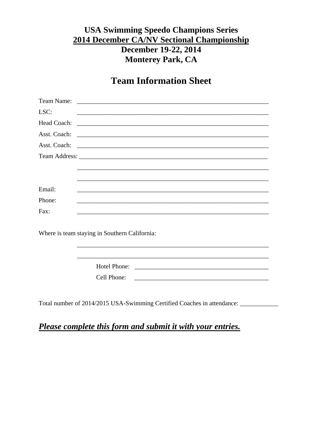# **USA Swimming Speedo Champions Series 2014 December CA/NV Sectional Championship** December 19-22, 2014 **Monterey Park, CA**

# **Team Information Sheet**

| <u> 1989 - Johann Harry Harry Harry Harry Harry Harry Harry Harry Harry Harry Harry Harry Harry Harry Harry Harry</u> |
|-----------------------------------------------------------------------------------------------------------------------|
|                                                                                                                       |
|                                                                                                                       |
|                                                                                                                       |
|                                                                                                                       |
|                                                                                                                       |
|                                                                                                                       |
|                                                                                                                       |
|                                                                                                                       |
|                                                                                                                       |
|                                                                                                                       |
|                                                                                                                       |
| Where is team staying in Southern California:                                                                         |
|                                                                                                                       |
|                                                                                                                       |
| Hotel Phone:                                                                                                          |
| Cell Phone:                                                                                                           |
|                                                                                                                       |
|                                                                                                                       |

Total number of 2014/2015 USA-Swimming Certified Coaches in attendance: \_\_\_\_\_\_\_\_\_\_

# Please complete this form and submit it with your entries.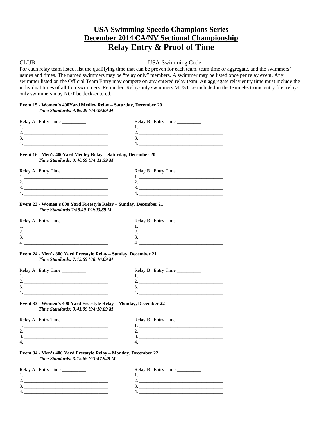# **USA Swimming Speedo Champions Series December 2014 CA/NV Sectional Championship Relay Entry & Proof of Time**

CLUB: \_\_\_\_\_\_\_\_\_\_\_\_\_\_\_\_\_\_\_\_\_\_\_\_\_\_\_\_\_\_\_\_\_\_\_\_\_ USA-Swimming Code: \_\_\_\_\_\_\_\_\_

For each relay team listed, list the qualifying time that can be proven for each team, team time or aggregate, and the swimmers' names and times. The named swimmers may be "relay only" members. A swimmer may be listed once per relay event. Any swimmer listed on the Official Team Entry may compete on any entered relay team. An aggregate relay entry time must include the individual times of all four swimmers. Reminder: Relay-only swimmers MUST be included in the team electronic entry file; relayonly swimmers may NOT be deck-entered.

#### **Event 15 - Women's 400Yard Medley Relay – Saturday, December 20** *Time Standards: 4:06.29 Y/4:39.69 M*

| Relay A Entry Time | Relay B Entry Time |
|--------------------|--------------------|
|                    |                    |
| -                  |                    |
| ◡                  |                    |
| 4                  |                    |

#### **Event 16 - Men's 400Yard Medley Relay – Saturday, December 20** *Time Standards: 3:40.69 Y/4:11.39 M*

| Relay A Entry Time | Relay B Entry Time |
|--------------------|--------------------|
|                    |                    |
| <u>.</u>           |                    |
| . ب                |                    |
| 4                  |                    |

#### **Event 23 - Women's 800 Yard Freestyle Relay – Sunday, December 21** *Time Standards 7:58.49 Y/9:03.89 M*

| Relay A Entry Time | Relay B Entry Time |
|--------------------|--------------------|
|                    |                    |
| <u>.</u>           |                    |
| <u>.</u>           |                    |
| 4.                 |                    |

#### **Event 24 - Men's 800 Yard Freestyle Relay – Sunday, December 21** *Time Standards: 7:15.69 Y/8:16.09 M*

| Relay A Entry Time | Relay B Entry Time |
|--------------------|--------------------|
|                    |                    |
|                    |                    |
|                    |                    |
|                    |                    |
|                    |                    |

#### **Event 33 - Women's 400 Yard Freestyle Relay – Monday, December 22** *Time Standards: 3:41.09 Y/4:10.89 M*

| Relay A Entry Time | Relay B Entry Time |
|--------------------|--------------------|
|                    |                    |
|                    |                    |
|                    |                    |
|                    |                    |
|                    |                    |

#### **Event 34 - Men's 400 Yard Freestyle Relay – Monday, December 22** *Time Standards: 3:19.69 Y/3:47.949 M*

| Relay A Entry Time | Relay B Entry Time |
|--------------------|--------------------|
|                    |                    |
|                    |                    |
|                    |                    |
|                    |                    |
|                    |                    |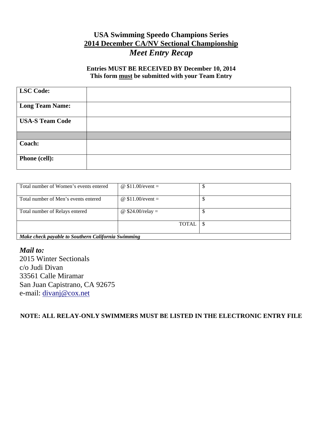# **USA Swimming Speedo Champions Series 2014 December CA/NV Sectional Championship** *Meet Entry Recap*

# **Entries MUST BE RECEIVED BY December 10, 2014 This form must be submitted with your Team Entry**

| <b>LSC</b> Code:       |  |
|------------------------|--|
| <b>Long Team Name:</b> |  |
| <b>USA-S Team Code</b> |  |
|                        |  |
| Coach:                 |  |
| Phone (cell):          |  |

| Total number of Women's events entered             | @ $$11.00/event =$ |  |  |
|----------------------------------------------------|--------------------|--|--|
| Total number of Men's events entered               | @ $$11.00/event =$ |  |  |
| Total number of Relays entered                     | @ $$24.00/relay =$ |  |  |
|                                                    | <b>TOTAL</b>       |  |  |
| Make check payable to Southern California Swimming |                    |  |  |

*Mail to:* 2015 Winter Sectionals c/o Judi Divan 33561 Calle Miramar San Juan Capistrano, CA 92675 e-mail: [divanj@cox.net](mailto:dearmas1@gmail.com)

**NOTE: ALL RELAY-ONLY SWIMMERS MUST BE LISTED IN THE ELECTRONIC ENTRY FILE**